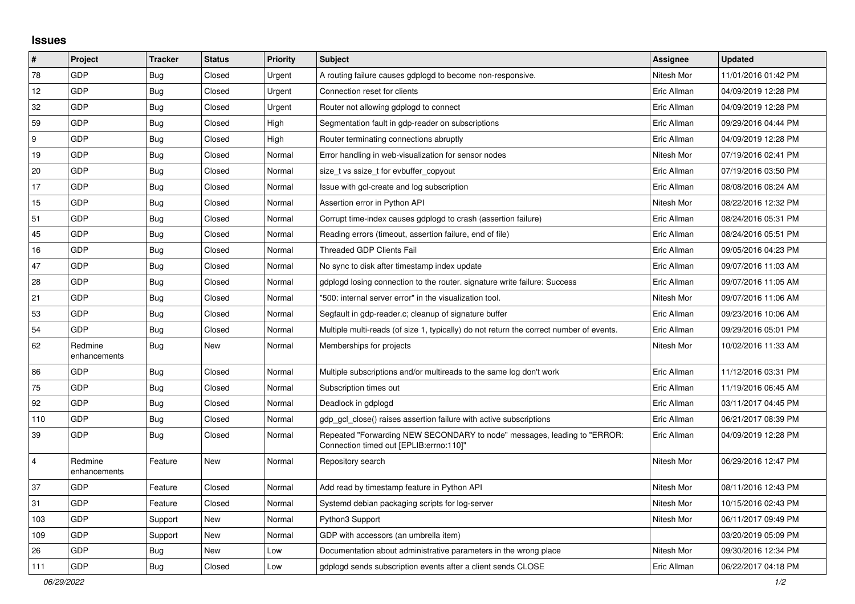## **Issues**

| $\pmb{\#}$     | Project                 | <b>Tracker</b> | <b>Status</b> | <b>Priority</b> | <b>Subject</b>                                                                                                      | <b>Assignee</b> | <b>Updated</b>      |
|----------------|-------------------------|----------------|---------------|-----------------|---------------------------------------------------------------------------------------------------------------------|-----------------|---------------------|
| 78             | GDP                     | <b>Bug</b>     | Closed        | Urgent          | A routing failure causes gdplogd to become non-responsive.                                                          | Nitesh Mor      | 11/01/2016 01:42 PM |
| 12             | GDP                     | <b>Bug</b>     | Closed        | Urgent          | Connection reset for clients                                                                                        | Eric Allman     | 04/09/2019 12:28 PM |
| 32             | GDP                     | <b>Bug</b>     | Closed        | Urgent          | Router not allowing gdplogd to connect                                                                              | Eric Allman     | 04/09/2019 12:28 PM |
| 59             | GDP                     | <b>Bug</b>     | Closed        | High            | Segmentation fault in gdp-reader on subscriptions                                                                   | Eric Allman     | 09/29/2016 04:44 PM |
| 9              | GDP                     | <b>Bug</b>     | Closed        | High            | Router terminating connections abruptly                                                                             | Eric Allman     | 04/09/2019 12:28 PM |
| 19             | GDP                     | <b>Bug</b>     | Closed        | Normal          | Error handling in web-visualization for sensor nodes                                                                | Nitesh Mor      | 07/19/2016 02:41 PM |
| 20             | GDP                     | <b>Bug</b>     | Closed        | Normal          | size t vs ssize t for evbuffer copyout                                                                              | Eric Allman     | 07/19/2016 03:50 PM |
| 17             | GDP                     | <b>Bug</b>     | Closed        | Normal          | Issue with gcl-create and log subscription                                                                          | Eric Allman     | 08/08/2016 08:24 AM |
| 15             | GDP                     | <b>Bug</b>     | Closed        | Normal          | Assertion error in Python API                                                                                       | Nitesh Mor      | 08/22/2016 12:32 PM |
| 51             | GDP                     | <b>Bug</b>     | Closed        | Normal          | Corrupt time-index causes gdplogd to crash (assertion failure)                                                      | Eric Allman     | 08/24/2016 05:31 PM |
| 45             | GDP                     | <b>Bug</b>     | Closed        | Normal          | Reading errors (timeout, assertion failure, end of file)                                                            | Eric Allman     | 08/24/2016 05:51 PM |
| 16             | <b>GDP</b>              | <b>Bug</b>     | Closed        | Normal          | Threaded GDP Clients Fail                                                                                           | Eric Allman     | 09/05/2016 04:23 PM |
| 47             | GDP                     | Bug            | Closed        | Normal          | No sync to disk after timestamp index update                                                                        | Eric Allman     | 09/07/2016 11:03 AM |
| 28             | GDP                     | <b>Bug</b>     | Closed        | Normal          | gdplogd losing connection to the router. signature write failure: Success                                           | Eric Allman     | 09/07/2016 11:05 AM |
| 21             | <b>GDP</b>              | Bug            | Closed        | Normal          | '500: internal server error" in the visualization tool.                                                             | Nitesh Mor      | 09/07/2016 11:06 AM |
| 53             | GDP                     | <b>Bug</b>     | Closed        | Normal          | Segfault in gdp-reader.c; cleanup of signature buffer                                                               | Eric Allman     | 09/23/2016 10:06 AM |
| 54             | GDP                     | <b>Bug</b>     | Closed        | Normal          | Multiple multi-reads (of size 1, typically) do not return the correct number of events.                             | Eric Allman     | 09/29/2016 05:01 PM |
| 62             | Redmine<br>enhancements | <b>Bug</b>     | <b>New</b>    | Normal          | Memberships for projects                                                                                            | Nitesh Mor      | 10/02/2016 11:33 AM |
| 86             | GDP                     | <b>Bug</b>     | Closed        | Normal          | Multiple subscriptions and/or multireads to the same log don't work                                                 | Eric Allman     | 11/12/2016 03:31 PM |
| 75             | GDP                     | Bug            | Closed        | Normal          | Subscription times out                                                                                              | Eric Allman     | 11/19/2016 06:45 AM |
| 92             | GDP                     | <b>Bug</b>     | Closed        | Normal          | Deadlock in gdplogd                                                                                                 | Eric Allman     | 03/11/2017 04:45 PM |
| 110            | GDP                     | <b>Bug</b>     | Closed        | Normal          | gdp_gcl_close() raises assertion failure with active subscriptions                                                  | Eric Allman     | 06/21/2017 08:39 PM |
| 39             | GDP                     | <b>Bug</b>     | Closed        | Normal          | Repeated "Forwarding NEW SECONDARY to node" messages, leading to "ERROR:<br>Connection timed out [EPLIB:errno:110]" | Eric Allman     | 04/09/2019 12:28 PM |
| $\overline{4}$ | Redmine<br>enhancements | Feature        | <b>New</b>    | Normal          | Repository search                                                                                                   | Nitesh Mor      | 06/29/2016 12:47 PM |
| 37             | <b>GDP</b>              | Feature        | Closed        | Normal          | Add read by timestamp feature in Python API                                                                         | Nitesh Mor      | 08/11/2016 12:43 PM |
| 31             | GDP                     | Feature        | Closed        | Normal          | Systemd debian packaging scripts for log-server                                                                     | Nitesh Mor      | 10/15/2016 02:43 PM |
| 103            | GDP                     | Support        | <b>New</b>    | Normal          | Python3 Support                                                                                                     | Nitesh Mor      | 06/11/2017 09:49 PM |
| 109            | GDP                     | Support        | New           | Normal          | GDP with accessors (an umbrella item)                                                                               |                 | 03/20/2019 05:09 PM |
| 26             | GDP                     | <b>Bug</b>     | New           | Low             | Documentation about administrative parameters in the wrong place                                                    | Nitesh Mor      | 09/30/2016 12:34 PM |
| 111            | GDP                     | Bug            | Closed        | Low             | gdplogd sends subscription events after a client sends CLOSE                                                        | Eric Allman     | 06/22/2017 04:18 PM |